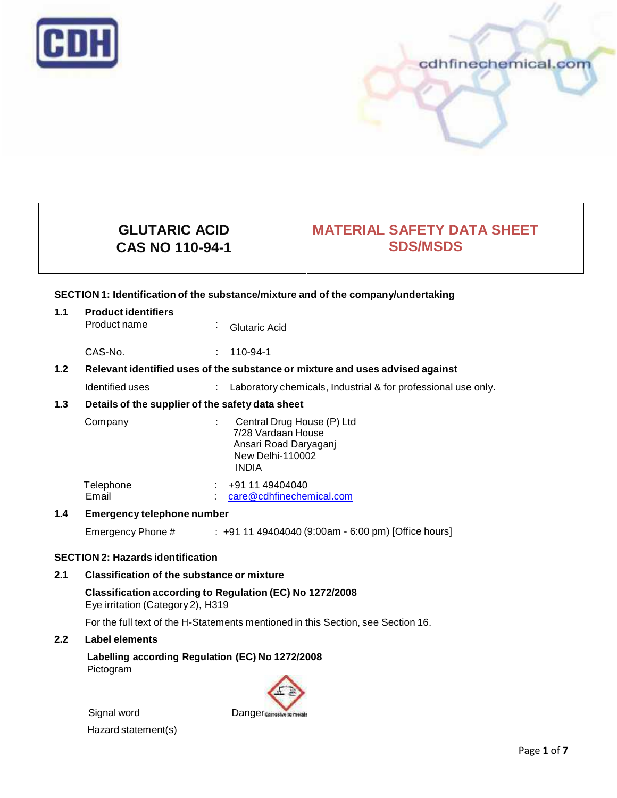



# **GLUTARIC ACID CAS NO 110-94-1**

# **MATERIAL SAFETY DATA SHEET SDS/MSDS**

# **SECTION 1: Identification of the substance/mixture and of the company/undertaking**

| 1.1 | <b>Product identifiers</b> |  |                 |  |
|-----|----------------------------|--|-----------------|--|
|     | Product name               |  | · Glutaric Acid |  |

CAS-No. : 110-94-1

# **1.2 Relevant identified uses of the substance ormixture and uses advised against**

Identified uses : Laboratory chemicals, Industrial & for professional use only.

# **1.3 Details of the supplier of the safety data sheet**

| Company            | Central Drug House (P) Ltd<br>7/28 Vardaan House<br>Ansari Road Daryaganj<br><b>New Delhi-110002</b><br><b>INDIA</b> |
|--------------------|----------------------------------------------------------------------------------------------------------------------|
| Telephone<br>Email | +91 11 49404040<br>care@cdhfinechemical.com                                                                          |

## **1.4 Emergency telephone number**

Emergency Phone # : +91 11 49404040 (9:00am - 6:00 pm) [Office hours]

## **SECTION 2: Hazards identification**

## **2.1 Classification of the substance ormixture**

**Classification according to Regulation (EC) No 1272/2008** Eye irritation (Category 2), H319

For the full text of the H-Statements mentioned in this Section, see Section 16.

## **2.2 Label elements**

**Labelling according Regulation (EC) No 1272/2008** Pictogram

Signal word Danger

Hazard statement(s)

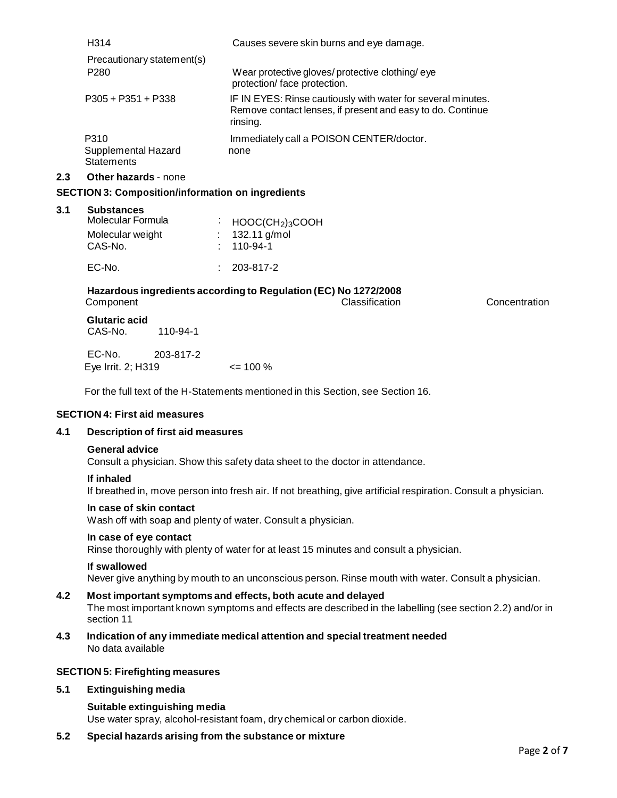| H <sub>3</sub> 14                                | Causes severe skin burns and eye damage.                                                                                               |
|--------------------------------------------------|----------------------------------------------------------------------------------------------------------------------------------------|
| Precautionary statement(s)                       |                                                                                                                                        |
| P <sub>280</sub>                                 | Wear protective gloves/protective clothing/eye<br>protection/face protection.                                                          |
| $P305 + P351 + P338$                             | IF IN EYES: Rinse cautiously with water for several minutes.<br>Remove contact lenses, if present and easy to do. Continue<br>rinsing. |
| P310<br>Supplemental Hazard<br><b>Statements</b> | Immediately call a POISON CENTER/doctor.<br>none                                                                                       |

#### **2.3 Other hazards** - none

## **SECTION 3: Composition/information on ingredients**

#### **3.1 Substances**

| Molecular Formula | $\cdot$ HOOC(CH <sub>2</sub> ) <sub>3</sub> COOH |
|-------------------|--------------------------------------------------|
| Molecular weight  | : $132.11$ g/mol                                 |
| CAS-No.           | $: 110-94-1$                                     |
| EC-No.            | $: 203 - 817 - 2$                                |

## **Hazardous ingredients according to Regulation (EC) No 1272/2008** Component Classification Concentration

## **Glutaric acid**<br>CAS-No. 110-94-1 CAS-No.

EC-No. 203-817-2 Eye Irrit.2; H319 <= 100 %

For the full text of the H-Statements mentioned in this Section, see Section 16.

## **SECTION 4: First aid measures**

# **4.1 Description of first aid measures**

#### **General advice**

Consult a physician. Show this safety data sheet to the doctor in attendance.

#### **If inhaled**

If breathed in, move person into fresh air. If not breathing, give artificial respiration. Consult a physician.

#### **In case of skin contact**

Wash off with soap and plenty of water. Consult a physician.

## **In case of eye contact**

Rinse thoroughly with plenty of water for at least 15 minutes and consult a physician.

#### **If swallowed**

Never give anything by mouth to an unconscious person. Rinse mouth with water. Consult a physician.

#### **4.2 Most important symptoms and effects, both acute and delayed**

The most important known symptoms and effects are described in the labelling (see section 2.2) and/or in section 11

**4.3 Indication of any immediate medical attention and special treatment needed** No data available

## **SECTION 5: Firefighting measures**

## **5.1 Extinguishing media**

## **Suitable extinguishing media**

Use water spray, alcohol-resistant foam, dry chemical or carbon dioxide.

**5.2 Special hazards arising from the substance ormixture**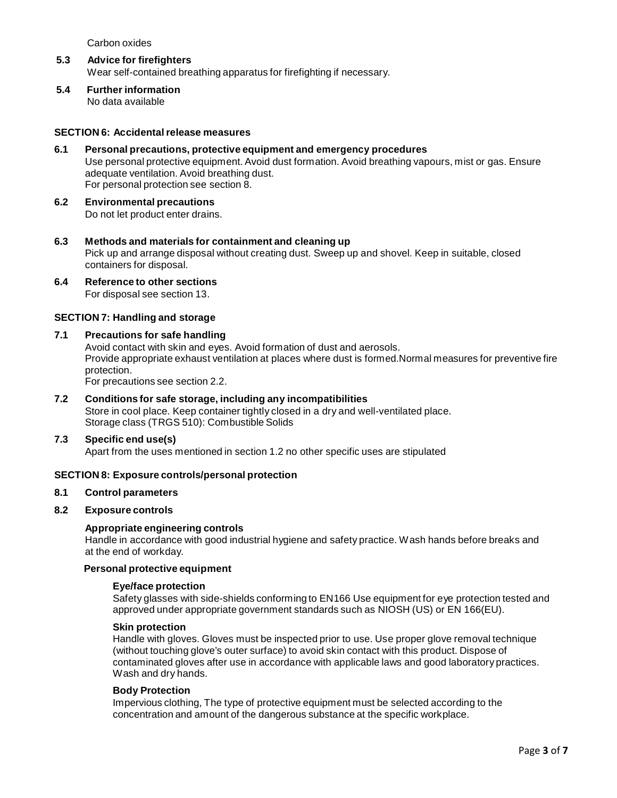Carbon oxides

- **5.3 Advice for firefighters** Wear self-contained breathing apparatus for firefighting if necessary.
- **5.4 Further information** No data available

## **SECTION 6: Accidentalrelease measures**

- **6.1 Personal precautions, protective equipment and emergency procedures** Use personal protective equipment. Avoid dust formation. Avoid breathing vapours, mist or gas. Ensure adequate ventilation. Avoid breathing dust. For personal protection see section 8.
- **6.2 Environmental precautions** Do not let product enter drains.
- **6.3 Methods and materials for containment and cleaning up** Pick up and arrange disposal without creating dust. Sweep up and shovel. Keep in suitable, closed containers for disposal.
- **6.4 Reference to other sections**

For disposal see section 13.

## **SECTION 7: Handling and storage**

### **7.1 Precautions for safe handling**

Avoid contact with skin and eyes. Avoid formation of dust and aerosols. Provide appropriate exhaust ventilation at places where dust is formed.Normal measures for preventive fire protection.

For precautions see section 2.2.

## **7.2 Conditions for safe storage, including any incompatibilities** Store in cool place. Keep container tightly closed in a dry and well-ventilated place. Storage class (TRGS 510): Combustible Solids

#### **7.3 Specific end use(s)**

Apart from the uses mentioned in section 1.2 no other specific uses are stipulated

## **SECTION 8: Exposure controls/personal protection**

### **8.1 Control parameters**

# **8.2 Exposure controls**

## **Appropriate engineering controls**

Handle in accordance with good industrial hygiene and safety practice. Wash hands before breaks and at the end of workday.

#### **Personal protective equipment**

#### **Eye/face protection**

Safety glasses with side-shields conforming to EN166 Use equipment for eye protection tested and approved under appropriate government standards such as NIOSH (US) or EN 166(EU).

## **Skin protection**

Handle with gloves. Gloves must be inspected prior to use. Use proper glove removal technique (without touching glove's outer surface) to avoid skin contact with this product. Dispose of contaminated gloves after use in accordance with applicable laws and good laboratory practices. Wash and dry hands.

#### **Body Protection**

Impervious clothing, The type of protective equipment must be selected according to the concentration and amount of the dangerous substance at the specific workplace.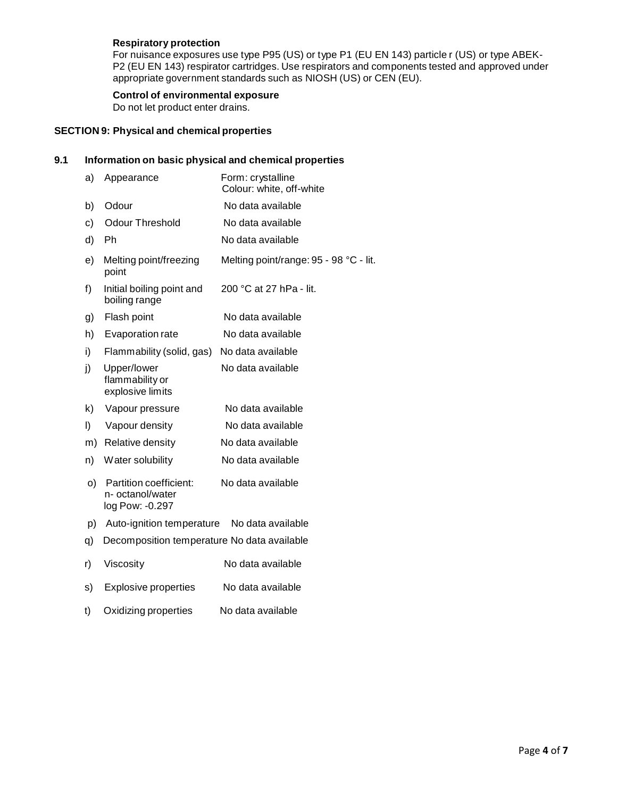# **Respiratory protection**

For nuisance exposures use type P95 (US) or type P1 (EU EN 143) particle r (US) or type ABEK- P2 (EU EN 143) respirator cartridges. Use respirators and components tested and approved under appropriate government standards such as NIOSH (US) or CEN (EU).

# **Control of environmental exposure**

Do not let product enter drains.

# **SECTION 9: Physical and chemical properties**

# **9.1 Information on basic physical and chemical properties**

| a) | Appearance                                                    | Form: crystalline<br>Colour: white, off-white |
|----|---------------------------------------------------------------|-----------------------------------------------|
| b) | Odour                                                         | No data available                             |
| c) | <b>Odour Threshold</b>                                        | No data available                             |
| d) | Ph                                                            | No data available                             |
| e) | Melting point/freezing<br>point                               | Melting point/range: 95 - 98 °C - lit.        |
| f) | Initial boiling point and<br>boiling range                    | 200 °C at 27 hPa - lit.                       |
| g) | Flash point                                                   | No data available                             |
| h) | Evaporation rate                                              | No data available                             |
| i) | Flammability (solid, gas)                                     | No data available                             |
| j) | Upper/lower<br>flammability or<br>explosive limits            | No data available                             |
| k) | Vapour pressure                                               | No data available                             |
| I) | Vapour density                                                | No data available                             |
| m) | Relative density                                              | No data available                             |
| n) | Water solubility                                              | No data available                             |
| O) | Partition coefficient:<br>n- octanol/water<br>log Pow: -0.297 | No data available                             |
| p) | Auto-ignition temperature                                     | No data available                             |
| q) | Decomposition temperature No data available                   |                                               |
| r) | Viscosity                                                     | No data available                             |
| s) | <b>Explosive properties</b>                                   | No data available                             |
| t) | Oxidizing properties                                          | No data available                             |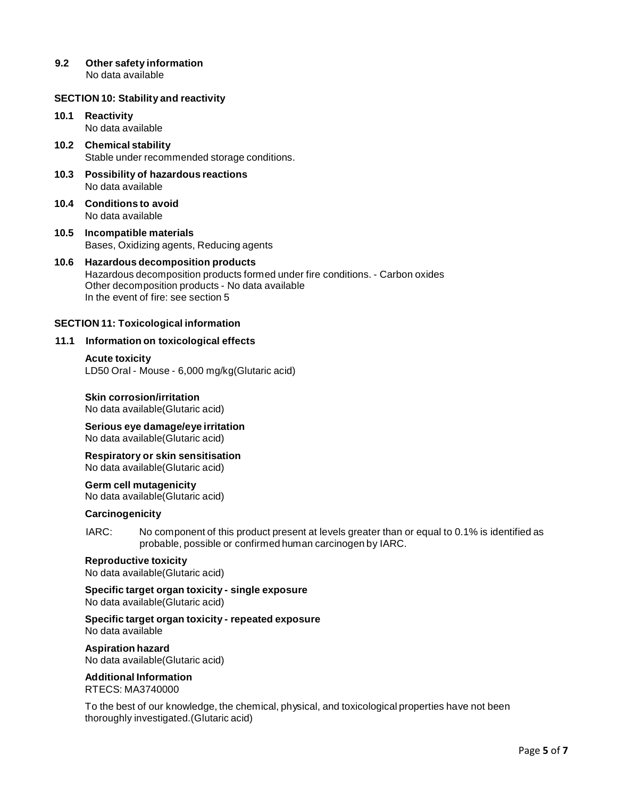**9.2 Other safety information** No data available

### **SECTION 10: Stability and reactivity**

## **10.1 Reactivity** No data available

- **10.2 Chemical stability** Stable under recommended storage conditions.
- **10.3 Possibility of hazardous reactions** No data available
- **10.4 Conditions to avoid** No data available
- **10.5 Incompatible materials** Bases, Oxidizing agents, Reducing agents

## **10.6 Hazardous decomposition products** Hazardous decomposition products formed under fire conditions. - Carbon oxides Other decomposition products - No data available In the event of fire: see section 5

### **SECTION 11: Toxicological information**

### **11.1 Information on toxicological effects**

#### **Acute toxicity**

LD50 Oral - Mouse - 6,000 mg/kg(Glutaric acid)

## **Skin corrosion/irritation**

No data available(Glutaric acid)

**Serious eye damage/eye irritation** No data available(Glutaric acid)

**Respiratory orskin sensitisation** No data available(Glutaric acid)

**Germ cell mutagenicity**

No data available(Glutaric acid)

## **Carcinogenicity**

IARC: No component of this product present at levels greater than or equal to 0.1% is identified as probable, possible or confirmed human carcinogen by IARC.

## **Reproductive toxicity**

No data available(Glutaric acid)

**Specific target organ toxicity - single exposure** No data available(Glutaric acid)

**Specific target organ toxicity - repeated exposure** No data available

#### **Aspiration hazard**

No data available(Glutaric acid)

# **Additional Information**

RTECS: MA3740000

To the bestof our knowledge, the chemical, physical, and toxicological properties have not been thoroughly investigated.(Glutaric acid)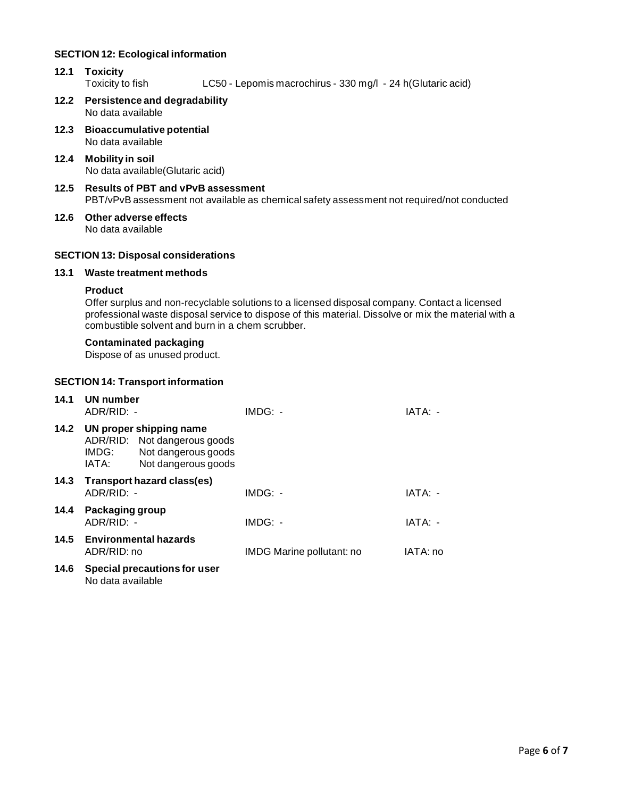## **SECTION 12: Ecological information**

- **12.1 Toxicity** LC50 - Lepomis macrochirus - 330 mg/l - 24 h(Glutaric acid)
- **12.2 Persistence and degradability** No data available
- **12.3 Bioaccumulative potential** No data available
- **12.4 Mobility in soil** No data available(Glutaric acid)
- **12.5 Results of PBT and vPvB assessment** PBT/vPvB assessment not available as chemical safety assessment not required/not conducted
- **12.6 Other adverse effects** No data available

# **SECTION 13: Disposal considerations**

# **13.1 Waste treatment methods**

## **Product**

Offer surplus and non-recyclable solutions to a licensed disposal company. Contact a licensed professional waste disposal service to dispose of this material. Dissolve or mix the material with a combustible solvent and burn in a chem scrubber.

## **Contaminated packaging**

Dispose of as unused product.

## **SECTION 14: Transport information**

| 14.1 | UN number<br>ADR/RID: -       |                                                                                                       | $IMDG: -$                 | IATA: -  |
|------|-------------------------------|-------------------------------------------------------------------------------------------------------|---------------------------|----------|
| 14.2 | IMDG:<br>IATA:                | UN proper shipping name<br>ADR/RID: Not dangerous goods<br>Not dangerous goods<br>Not dangerous goods |                           |          |
| 14.3 | $ADR/RID: -$                  | Transport hazard class(es)                                                                            | $IMDG: -$                 | IATA: -  |
| 14.4 | Packaging group<br>ADR/RID: - |                                                                                                       | $IMDG: -$                 | IATA: -  |
|      | ADR/RID: no                   | 14.5 Environmental hazards                                                                            | IMDG Marine pollutant: no | IATA: no |
| 14.6 | No data available             | Special precautions for user                                                                          |                           |          |